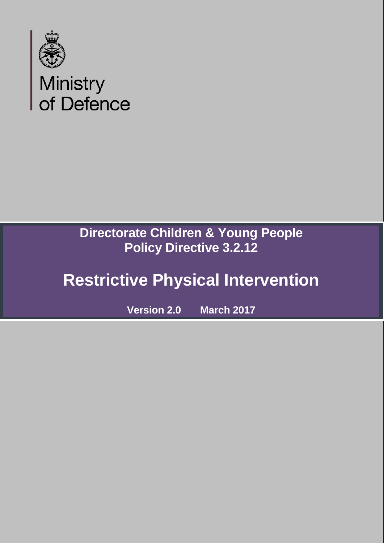

## **Directorate Children & Young People Policy Directive 3.2.12**

# **Restrictive Physical Intervention**

**Version 2.0 March 2017**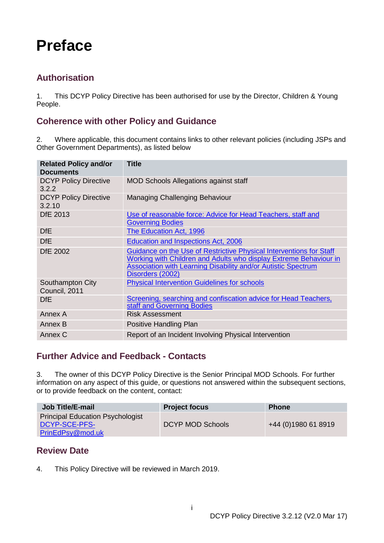## <span id="page-1-0"></span>**Preface**

## <span id="page-1-1"></span>**Authorisation**

1. This DCYP Policy Directive has been authorised for use by the Director, Children & Young People.

## <span id="page-1-2"></span>**Coherence with other Policy and Guidance**

2. Where applicable, this document contains links to other relevant policies (including JSPs and Other Government Departments), as listed below

| <b>Related Policy and/or</b><br><b>Documents</b> | <b>Title</b>                                                                                                                                                                                                                         |
|--------------------------------------------------|--------------------------------------------------------------------------------------------------------------------------------------------------------------------------------------------------------------------------------------|
| <b>DCYP Policy Directive</b><br>3.2.2            | <b>MOD Schools Allegations against staff</b>                                                                                                                                                                                         |
| <b>DCYP Policy Directive</b><br>3.2.10           | <b>Managing Challenging Behaviour</b>                                                                                                                                                                                                |
| <b>DfE 2013</b>                                  | Use of reasonable force: Advice for Head Teachers, staff and<br><b>Governing Bodies</b>                                                                                                                                              |
| <b>DfE</b>                                       | <b>The Education Act, 1996</b>                                                                                                                                                                                                       |
| <b>DfE</b>                                       | <b>Education and Inspections Act, 2006</b>                                                                                                                                                                                           |
| <b>DfE 2002</b>                                  | Guidance on the Use of Restrictive Physical Interventions for Staff<br>Working with Children and Adults who display Extreme Behaviour in<br><b>Association with Learning Disability and/or Autistic Spectrum</b><br>Disorders (2002) |
| Southampton City<br>Council, 2011                | <b>Physical Intervention Guidelines for schools</b>                                                                                                                                                                                  |
| DfE                                              | Screening, searching and confiscation advice for Head Teachers,<br>staff and Governing Bodies                                                                                                                                        |
| Annex A                                          | <b>Risk Assessment</b>                                                                                                                                                                                                               |
| Annex B                                          | Positive Handling Plan                                                                                                                                                                                                               |
| Annex C                                          | Report of an Incident Involving Physical Intervention                                                                                                                                                                                |

### <span id="page-1-3"></span>**Further Advice and Feedback - Contacts**

3. The owner of this DCYP Policy Directive is the Senior Principal MOD Schools. For further information on any aspect of this guide, or questions not answered within the subsequent sections, or to provide feedback on the content, contact:

| <b>Job Title/E-mail</b>                                                      | <b>Project focus</b> | <b>Phone</b>        |
|------------------------------------------------------------------------------|----------------------|---------------------|
| <b>Principal Education Psychologist</b><br>DCYP-SCE-PFS-<br>PrinEdPsy@mod.uk | DCYP MOD Schools     | +44 (0)1980 61 8919 |

### <span id="page-1-4"></span>**Review Date**

4. This Policy Directive will be reviewed in March 2019.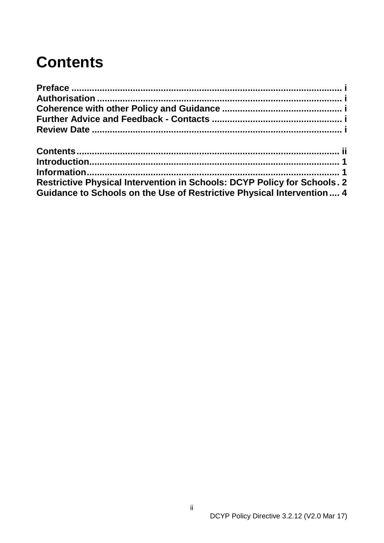## <span id="page-2-0"></span>**Contents**

| <b>Restrictive Physical Intervention in Schools: DCYP Policy for Schools. 2</b> |  |
|---------------------------------------------------------------------------------|--|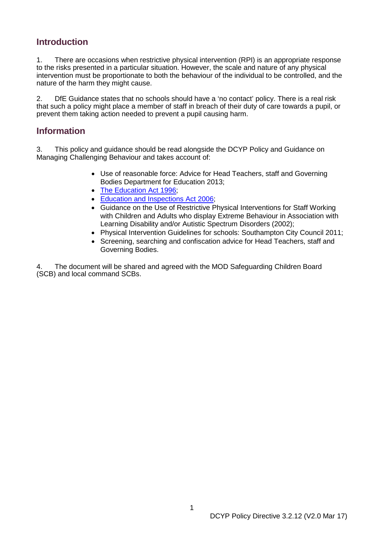## <span id="page-3-0"></span>**Introduction**

1. There are occasions when restrictive physical intervention (RPI) is an appropriate response to the risks presented in a particular situation. However, the scale and nature of any physical intervention must be proportionate to both the behaviour of the individual to be controlled, and the nature of the harm they might cause.

2. DfE Guidance states that no schools should have a 'no contact' policy. There is a real risk that such a policy might place a member of staff in breach of their duty of care towards a pupil, or prevent them taking action needed to prevent a pupil causing harm.

## <span id="page-3-1"></span>**Information**

3. This policy and guidance should be read alongside the DCYP Policy and Guidance on Managing Challenging Behaviour and takes account of:

- Use of reasonable force: Advice for Head Teachers, staff and Governing Bodies Department for Education 2013;
- The Education Act 1996:
- [Education and Inspections Act 2006;](http://www.legislation.gov.uk/ukpga/2006/40/contents)
- Guidance on the Use of Restrictive Physical Interventions for Staff Working with Children and Adults who display Extreme Behaviour in Association with Learning Disability and/or Autistic Spectrum Disorders (2002);
- Physical Intervention Guidelines for schools: Southampton City Council 2011;
- Screening, searching and confiscation advice for Head Teachers, staff and Governing Bodies.

4. The document will be shared and agreed with the MOD Safeguarding Children Board (SCB) and local command SCBs.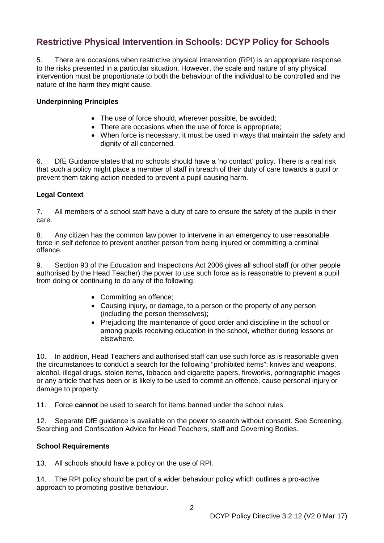## <span id="page-4-0"></span>**Restrictive Physical Intervention in Schools: DCYP Policy for Schools**

5. There are occasions when restrictive physical intervention (RPI) is an appropriate response to the risks presented in a particular situation. However, the scale and nature of any physical intervention must be proportionate to both the behaviour of the individual to be controlled and the nature of the harm they might cause.

#### **Underpinning Principles**

- The use of force should, wherever possible, be avoided:
- There are occasions when the use of force is appropriate:
- When force is necessary, it must be used in ways that maintain the safety and dignity of all concerned.

6. DfE Guidance states that no schools should have a 'no contact' policy. There is a real risk that such a policy might place a member of staff in breach of their duty of care towards a pupil or prevent them taking action needed to prevent a pupil causing harm.

#### **Legal Context**

7. All members of a school staff have a duty of care to ensure the safety of the pupils in their care.

8. Any citizen has the common law power to intervene in an emergency to use reasonable force in self defence to prevent another person from being injured or committing a criminal offence.

9. Section 93 of the Education and Inspections Act 2006 gives all school staff (or other people authorised by the Head Teacher) the power to use such force as is reasonable to prevent a pupil from doing or continuing to do any of the following:

- Committing an offence;
- Causing injury, or damage, to a person or the property of any person (including the person themselves);
- Prejudicing the maintenance of good order and discipline in the school or among pupils receiving education in the school, whether during lessons or elsewhere.

10. In addition, Head Teachers and authorised staff can use such force as is reasonable given the circumstances to conduct a search for the following "prohibited items": knives and weapons, alcohol, illegal drugs, stolen items, tobacco and cigarette papers, fireworks, pornographic images or any article that has been or is likely to be used to commit an offence, cause personal injury or damage to property.

11. Force **cannot** be used to search for items banned under the school rules.

12. Separate DfE guidance is available on the power to search without consent. See Screening, Searching and Confiscation Advice for Head Teachers, staff and Governing Bodies.

#### **School Requirements**

13. All schools should have a policy on the use of RPI.

14. The RPI policy should be part of a wider behaviour policy which outlines a pro-active approach to promoting positive behaviour.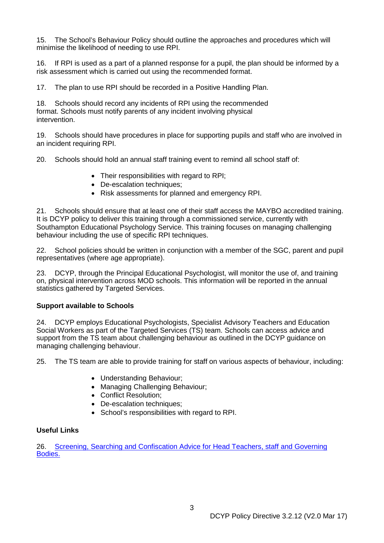15. The School's Behaviour Policy should outline the approaches and procedures which will minimise the likelihood of needing to use RPI.

16. If RPI is used as a part of a planned response for a pupil, the plan should be informed by a risk assessment which is carried out using the recommended format.

17. The plan to use RPI should be recorded in a Positive Handling Plan.

18. Schools should record any incidents of RPI using the recommended format. Schools must notify parents of any incident involving physical intervention.

19. Schools should have procedures in place for supporting pupils and staff who are involved in an incident requiring RPI.

20. Schools should hold an annual staff training event to remind all school staff of:

- Their responsibilities with regard to RPI;
- De-escalation techniques;
- Risk assessments for planned and emergency RPI.

21. Schools should ensure that at least one of their staff access the MAYBO accredited training. It is DCYP policy to deliver this training through a commissioned service, currently with Southampton Educational Psychology Service. This training focuses on managing challenging behaviour including the use of specific RPI techniques.

22. School policies should be written in conjunction with a member of the SGC, parent and pupil representatives (where age appropriate).

23. DCYP, through the Principal Educational Psychologist, will monitor the use of, and training on, physical intervention across MOD schools. This information will be reported in the annual statistics gathered by Targeted Services.

#### **Support available to Schools**

24. DCYP employs Educational Psychologists, Specialist Advisory Teachers and Education Social Workers as part of the Targeted Services (TS) team. Schools can access advice and support from the TS team about challenging behaviour as outlined in the DCYP guidance on managing challenging behaviour.

25. The TS team are able to provide training for staff on various aspects of behaviour, including:

- Understanding Behaviour;
- Managing Challenging Behaviour;
- Conflict Resolution;
- De-escalation techniques;
- School's responsibilities with regard to RPI.

#### **Useful Links**

26. [Screening, Searching and Confiscation Advice for Head Teachers, staff and Governing](https://www.gov.uk/government/uploads/system/uploads/attachment_data/file/554415/searching_screening_confiscation_advice_Sept_2016.pdf)  [Bodies.](https://www.gov.uk/government/uploads/system/uploads/attachment_data/file/554415/searching_screening_confiscation_advice_Sept_2016.pdf)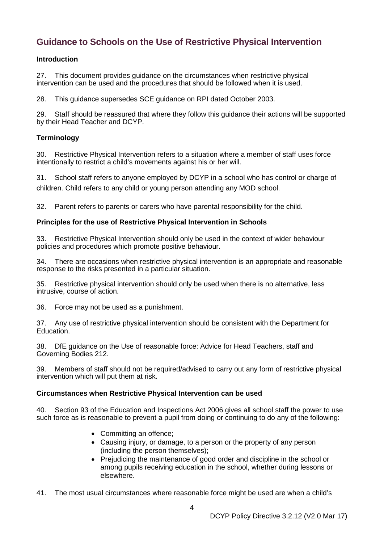## <span id="page-6-0"></span>**Guidance to Schools on the Use of Restrictive Physical Intervention**

#### **Introduction**

27. This document provides guidance on the circumstances when restrictive physical intervention can be used and the procedures that should be followed when it is used.

28. This guidance supersedes SCE guidance on RPI dated October 2003.

29. Staff should be reassured that where they follow this guidance their actions will be supported by their Head Teacher and DCYP.

#### **Terminology**

30. Restrictive Physical Intervention refers to a situation where a member of staff uses force intentionally to restrict a child's movements against his or her will.

31. School staff refers to anyone employed by DCYP in a school who has control or charge of children. Child refers to any child or young person attending any MOD school.

32. Parent refers to parents or carers who have parental responsibility for the child.

#### **Principles for the use of Restrictive Physical Intervention in Schools**

33. Restrictive Physical Intervention should only be used in the context of wider behaviour policies and procedures which promote positive behaviour.

34. There are occasions when restrictive physical intervention is an appropriate and reasonable response to the risks presented in a particular situation.

35. Restrictive physical intervention should only be used when there is no alternative, less intrusive, course of action.

36. Force may not be used as a punishment.

37. Any use of restrictive physical intervention should be consistent with the Department for Education.

38. DfE guidance on the Use of reasonable force: Advice for Head Teachers, staff and Governing Bodies 212.

39. Members of staff should not be required/advised to carry out any form of restrictive physical intervention which will put them at risk.

#### **Circumstances when Restrictive Physical Intervention can be used**

40. Section 93 of the Education and Inspections Act 2006 gives all school staff the power to use such force as is reasonable to prevent a pupil from doing or continuing to do any of the following:

- Committing an offence;
- Causing injury, or damage, to a person or the property of any person (including the person themselves);
- Prejudicing the maintenance of good order and discipline in the school or among pupils receiving education in the school, whether during lessons or elsewhere.

41. The most usual circumstances where reasonable force might be used are when a child's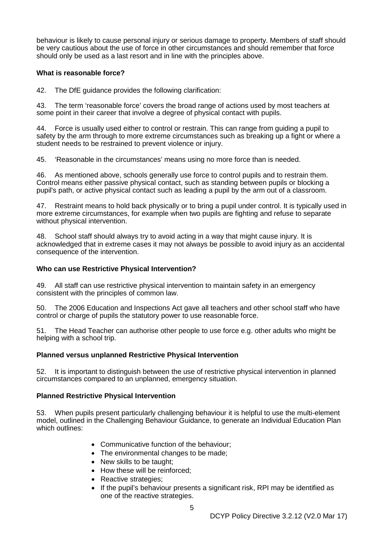behaviour is likely to cause personal injury or serious damage to property. Members of staff should be very cautious about the use of force in other circumstances and should remember that force should only be used as a last resort and in line with the principles above.

#### **What is reasonable force?**

42. The DfE guidance provides the following clarification:

43. The term 'reasonable force' covers the broad range of actions used by most teachers at some point in their career that involve a degree of physical contact with pupils.

44. Force is usually used either to control or restrain. This can range from guiding a pupil to safety by the arm through to more extreme circumstances such as breaking up a fight or where a student needs to be restrained to prevent violence or injury.

45. 'Reasonable in the circumstances' means using no more force than is needed.

46. As mentioned above, schools generally use force to control pupils and to restrain them. Control means either passive physical contact, such as standing between pupils or blocking a pupil's path, or active physical contact such as leading a pupil by the arm out of a classroom.

47. Restraint means to hold back physically or to bring a pupil under control. It is typically used in more extreme circumstances, for example when two pupils are fighting and refuse to separate without physical intervention.

48. School staff should always try to avoid acting in a way that might cause injury. It is acknowledged that in extreme cases it may not always be possible to avoid injury as an accidental consequence of the intervention.

#### **Who can use Restrictive Physical Intervention?**

49. All staff can use restrictive physical intervention to maintain safety in an emergency consistent with the principles of common law.

50. The 2006 Education and Inspections Act gave all teachers and other school staff who have control or charge of pupils the statutory power to use reasonable force.

51. The Head Teacher can authorise other people to use force e.g. other adults who might be helping with a school trip.

#### **Planned versus unplanned Restrictive Physical Intervention**

52. It is important to distinguish between the use of restrictive physical intervention in planned circumstances compared to an unplanned, emergency situation.

#### **Planned Restrictive Physical Intervention**

53. When pupils present particularly challenging behaviour it is helpful to use the multi-element model, outlined in the Challenging Behaviour Guidance, to generate an Individual Education Plan which outlines:

- Communicative function of the behaviour;
- The environmental changes to be made:
- New skills to be taught;
- How these will be reinforced:
- Reactive strategies;
- If the pupil's behaviour presents a significant risk, RPI may be identified as one of the reactive strategies.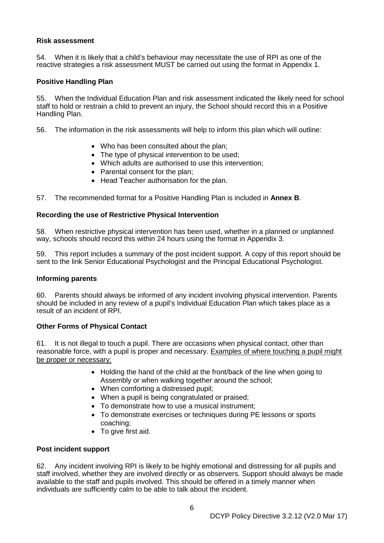#### **Risk assessment**

54. When it is likely that a child's behaviour may necessitate the use of RPI as one of the reactive strategies a risk assessment MUST be carried out using the format in Appendix 1.

#### **Positive Handling Plan**

55. When the Individual Education Plan and risk assessment indicated the likely need for school staff to hold or restrain a child to prevent an injury, the School should record this in a Positive Handling Plan.

56. The information in the risk assessments will help to inform this plan which will outline:

- Who has been consulted about the plan;
- The type of physical intervention to be used;
- Which adults are authorised to use this intervention;
- Parental consent for the plan;
- Head Teacher authorisation for the plan.

57. The recommended format for a Positive Handling Plan is included in **Annex B**.

#### **Recording the use of Restrictive Physical Intervention**

58. When restrictive physical intervention has been used, whether in a planned or unplanned way, schools should record this within 24 hours using the format in Appendix 3.

59. This report includes a summary of the post incident support. A copy of this report should be sent to the link Senior Educational Psychologist and the Principal Educational Psychologist.

#### **Informing parents**

60. Parents should always be informed of any incident involving physical intervention. Parents should be included in any review of a pupil's Individual Education Plan which takes place as a result of an incident of RPI.

#### **Other Forms of Physical Contact**

61. It is not illegal to touch a pupil. There are occasions when physical contact, other than reasonable force, with a pupil is proper and necessary. Examples of where touching a pupil might be proper or necessary:

- Holding the hand of the child at the front/back of the line when going to Assembly or when walking together around the school;
- When comforting a distressed pupil;
- When a pupil is being congratulated or praised;
- To demonstrate how to use a musical instrument;
- To demonstrate exercises or techniques during PE lessons or sports coaching;
- To give first aid.

#### **Post incident support**

62. Any incident involving RPI is likely to be highly emotional and distressing for all pupils and staff involved, whether they are involved directly or as observers. Support should always be made available to the staff and pupils involved. This should be offered in a timely manner when individuals are sufficiently calm to be able to talk about the incident.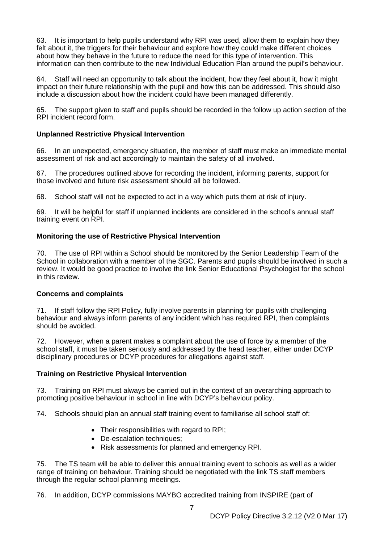63. It is important to help pupils understand why RPI was used, allow them to explain how they felt about it, the triggers for their behaviour and explore how they could make different choices about how they behave in the future to reduce the need for this type of intervention. This information can then contribute to the new Individual Education Plan around the pupil's behaviour.

64. Staff will need an opportunity to talk about the incident, how they feel about it, how it might impact on their future relationship with the pupil and how this can be addressed. This should also include a discussion about how the incident could have been managed differently.

65. The support given to staff and pupils should be recorded in the follow up action section of the RPI incident record form.

#### **Unplanned Restrictive Physical Intervention**

66. In an unexpected, emergency situation, the member of staff must make an immediate mental assessment of risk and act accordingly to maintain the safety of all involved.

The procedures outlined above for recording the incident, informing parents, support for those involved and future risk assessment should all be followed.

68. School staff will not be expected to act in a way which puts them at risk of injury.

69. It will be helpful for staff if unplanned incidents are considered in the school's annual staff training event on RPI.

#### **Monitoring the use of Restrictive Physical Intervention**

70. The use of RPI within a School should be monitored by the Senior Leadership Team of the School in collaboration with a member of the SGC. Parents and pupils should be involved in such a review. It would be good practice to involve the link Senior Educational Psychologist for the school in this review.

#### **Concerns and complaints**

71. If staff follow the RPI Policy, fully involve parents in planning for pupils with challenging behaviour and always inform parents of any incident which has required RPI, then complaints should be avoided.

72. However, when a parent makes a complaint about the use of force by a member of the school staff, it must be taken seriously and addressed by the head teacher, either under DCYP disciplinary procedures or DCYP procedures for allegations against staff.

#### **Training on Restrictive Physical Intervention**

73. Training on RPI must always be carried out in the context of an overarching approach to promoting positive behaviour in school in line with DCYP's behaviour policy.

74. Schools should plan an annual staff training event to familiarise all school staff of:

- Their responsibilities with regard to RPI:
- De-escalation techniques:
- Risk assessments for planned and emergency RPI.

75. The TS team will be able to deliver this annual training event to schools as well as a wider range of training on behaviour. Training should be negotiated with the link TS staff members through the regular school planning meetings.

76. In addition, DCYP commissions MAYBO accredited training from INSPIRE (part of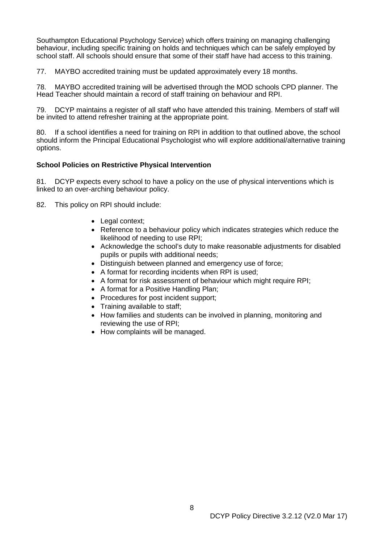Southampton Educational Psychology Service) which offers training on managing challenging behaviour, including specific training on holds and techniques which can be safely employed by school staff. All schools should ensure that some of their staff have had access to this training.

77. MAYBO accredited training must be updated approximately every 18 months.

78. MAYBO accredited training will be advertised through the MOD schools CPD planner. The Head Teacher should maintain a record of staff training on behaviour and RPI.

79. DCYP maintains a register of all staff who have attended this training. Members of staff will be invited to attend refresher training at the appropriate point.

80. If a school identifies a need for training on RPI in addition to that outlined above, the school should inform the Principal Educational Psychologist who will explore additional/alternative training options.

#### **School Policies on Restrictive Physical Intervention**

81. DCYP expects every school to have a policy on the use of physical interventions which is linked to an over-arching behaviour policy.

82. This policy on RPI should include:

- Legal context;
- Reference to a behaviour policy which indicates strategies which reduce the likelihood of needing to use RPI;
- Acknowledge the school's duty to make reasonable adjustments for disabled pupils or pupils with additional needs;
- Distinguish between planned and emergency use of force;
- A format for recording incidents when RPI is used;
- A format for risk assessment of behaviour which might require RPI:
- A format for a Positive Handling Plan;
- Procedures for post incident support;
- Training available to staff;
- How families and students can be involved in planning, monitoring and reviewing the use of RPI;
- How complaints will be managed.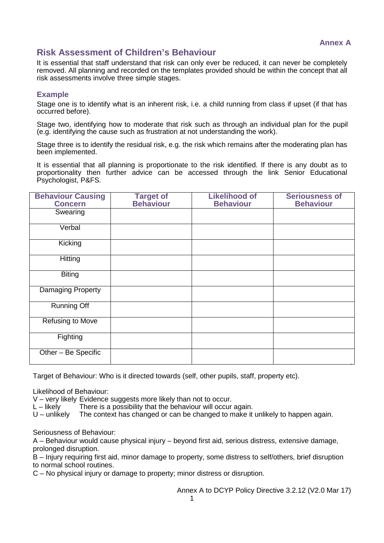## **Risk Assessment of Children's Behaviour**

It is essential that staff understand that risk can only ever be reduced, it can never be completely removed. All planning and recorded on the templates provided should be within the concept that all risk assessments involve three simple stages.

#### **Example**

Stage one is to identify what is an inherent risk, i.e. a child running from class if upset (if that has occurred before).

Stage two, identifying how to moderate that risk such as through an individual plan for the pupil (e.g. identifying the cause such as frustration at not understanding the work).

Stage three is to identify the residual risk, e.g. the risk which remains after the moderating plan has been implemented.

It is essential that all planning is proportionate to the risk identified. If there is any doubt as to proportionality then further advice can be accessed through the link Senior Educational Psychologist, P&FS.

| <b>Behaviour Causing</b> | <b>Target of</b> | <b>Likelihood of</b> | <b>Seriousness of</b> |
|--------------------------|------------------|----------------------|-----------------------|
| <b>Concern</b>           | <b>Behaviour</b> | <b>Behaviour</b>     | <b>Behaviour</b>      |
| Swearing                 |                  |                      |                       |
| Verbal                   |                  |                      |                       |
| Kicking                  |                  |                      |                       |
| Hitting                  |                  |                      |                       |
| <b>Biting</b>            |                  |                      |                       |
| <b>Damaging Property</b> |                  |                      |                       |
| <b>Running Off</b>       |                  |                      |                       |
| <b>Refusing to Move</b>  |                  |                      |                       |
| Fighting                 |                  |                      |                       |
| Other - Be Specific      |                  |                      |                       |

Target of Behaviour: Who is it directed towards (self, other pupils, staff, property etc).

Likelihood of Behaviour:

V – very likely Evidence suggests more likely than not to occur.<br>L – likely and there is a possibility that the behaviour will occur

L – likely There is a possibility that the behaviour will occur again.<br>U – unlikely The context has changed or can be changed to make it

The context has changed or can be changed to make it unlikely to happen again.

Seriousness of Behaviour:

A – Behaviour would cause physical injury – beyond first aid, serious distress, extensive damage, prolonged disruption.

B – Injury requiring first aid, minor damage to property, some distress to self/others, brief disruption to normal school routines.

C – No physical injury or damage to property; minor distress or disruption.

Annex A to DCYP Policy Directive 3.2.12 (V2.0 Mar 17)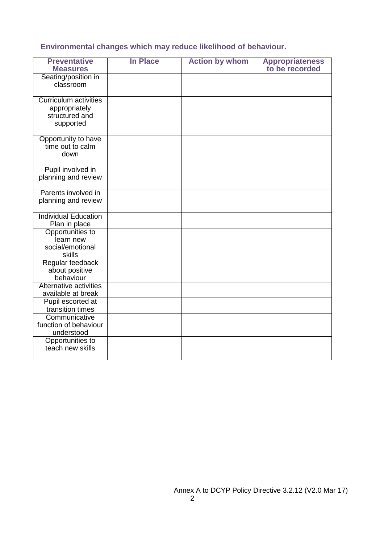#### **Environmental changes which may reduce likelihood of behaviour.**

| <b>Preventative</b><br><b>Measures</b>                                       | <b>In Place</b> | <b>Action by whom</b> | <b>Appropriateness</b><br>to be recorded |
|------------------------------------------------------------------------------|-----------------|-----------------------|------------------------------------------|
| Seating/position in<br>classroom                                             |                 |                       |                                          |
| <b>Curriculum activities</b><br>appropriately<br>structured and<br>supported |                 |                       |                                          |
| Opportunity to have<br>time out to calm<br>down                              |                 |                       |                                          |
| Pupil involved in<br>planning and review                                     |                 |                       |                                          |
| Parents involved in<br>planning and review                                   |                 |                       |                                          |
| <b>Individual Education</b><br>Plan in place                                 |                 |                       |                                          |
| Opportunities to<br>learn new<br>social/emotional<br>skills                  |                 |                       |                                          |
| Regular feedback<br>about positive<br>behaviour                              |                 |                       |                                          |
| Alternative activities<br>available at break                                 |                 |                       |                                          |
| Pupil escorted at<br>transition times                                        |                 |                       |                                          |
| Communicative<br>function of behaviour<br>understood                         |                 |                       |                                          |
| Opportunities to<br>teach new skills                                         |                 |                       |                                          |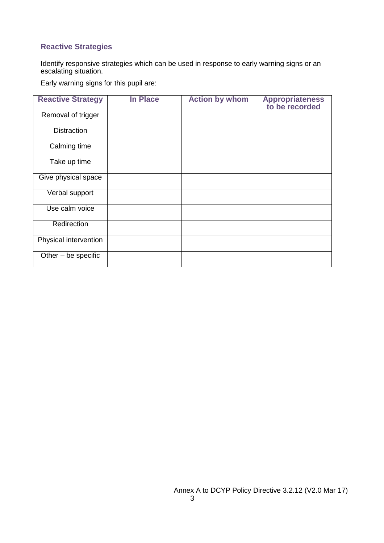#### **Reactive Strategies**

Identify responsive strategies which can be used in response to early warning signs or an escalating situation.

Early warning signs for this pupil are:

| <b>Reactive Strategy</b> | <b>In Place</b> | <b>Action by whom</b> | <b>Appropriateness</b><br>to be recorded |
|--------------------------|-----------------|-----------------------|------------------------------------------|
| Removal of trigger       |                 |                       |                                          |
| <b>Distraction</b>       |                 |                       |                                          |
| Calming time             |                 |                       |                                          |
| Take up time             |                 |                       |                                          |
| Give physical space      |                 |                       |                                          |
| Verbal support           |                 |                       |                                          |
| Use calm voice           |                 |                       |                                          |
| Redirection              |                 |                       |                                          |
| Physical intervention    |                 |                       |                                          |
| Other - be specific      |                 |                       |                                          |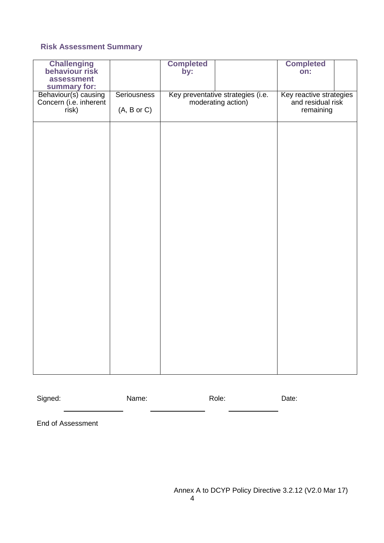#### **Risk Assessment Summary**

| <b>Challenging</b><br>behaviour risk |                    | <b>Completed</b><br>by: |                                   | <b>Completed</b><br>on:        |  |
|--------------------------------------|--------------------|-------------------------|-----------------------------------|--------------------------------|--|
| assessment<br>summary for:           |                    |                         |                                   |                                |  |
| Behaviour(s) causing                 | <b>Seriousness</b> |                         | Key preventative strategies (i.e. | Key reactive strategies        |  |
| Concern (i.e. inherent<br>risk)      | (A, B or C)        |                         | moderating action)                | and residual risk<br>remaining |  |
|                                      |                    |                         |                                   |                                |  |
|                                      |                    |                         |                                   |                                |  |
|                                      |                    |                         |                                   |                                |  |
|                                      |                    |                         |                                   |                                |  |
|                                      |                    |                         |                                   |                                |  |
|                                      |                    |                         |                                   |                                |  |
|                                      |                    |                         |                                   |                                |  |
|                                      |                    |                         |                                   |                                |  |
|                                      |                    |                         |                                   |                                |  |
|                                      |                    |                         |                                   |                                |  |
|                                      |                    |                         |                                   |                                |  |
|                                      |                    |                         |                                   |                                |  |
|                                      |                    |                         |                                   |                                |  |
|                                      |                    |                         |                                   |                                |  |

Signed: Name: Name: Role: Date:  $\overline{\phantom{0}}$ 

End of Assessment

Annex A to DCYP Policy Directive 3.2.12 (V2.0 Mar 17)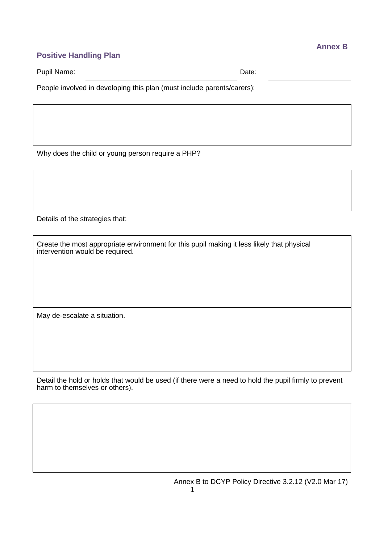## **Positive Handling Plan**

Pupil Name: Date: Date: Date: Date: Date: Date: Date: Date: Date: Date: Date: Date: Date: Date: Date: Date: Date: Date: Date: Date: Date: Date: Date: Date: Date: Date: Date: Date: Date: Date: Date: Date: Date: Date: Date:

People involved in developing this plan (must include parents/carers):

Why does the child or young person require a PHP?

Details of the strategies that:

Create the most appropriate environment for this pupil making it less likely that physical intervention would be required.

May de-escalate a situation.

Detail the hold or holds that would be used (if there were a need to hold the pupil firmly to prevent harm to themselves or others).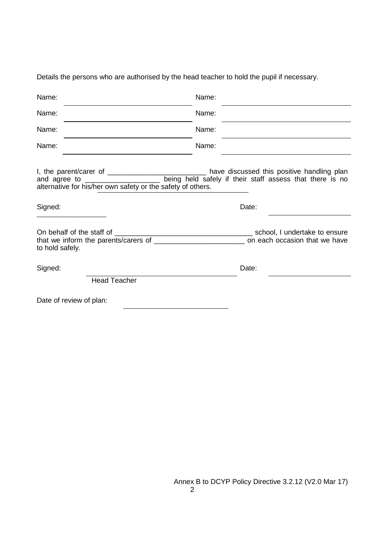Name: Name: Name: Name: Name: Name: Name: Name: I, the parent/carer of \_\_\_\_\_\_\_\_\_\_\_\_\_\_\_\_\_\_\_\_\_\_\_\_\_\_\_\_\_\_ have discussed this positive handling plan and agree to \_\_\_\_\_\_\_\_\_\_\_\_\_\_\_\_\_\_\_\_\_\_ being held safely if their staff assess that there is no Loom being held safely if their staff assess that there is no alternative for his/her own safety or the safety of others. Signed: Date: \_\_\_\_\_\_\_\_\_\_\_\_\_\_\_\_\_\_ On behalf of the staff of \_\_\_\_\_\_\_\_\_\_\_\_\_\_\_\_\_\_\_\_\_\_\_\_\_\_\_\_\_\_\_\_\_\_\_ school, I undertake to ensure that we inform the parents/carers of \_\_\_\_\_\_\_\_\_\_\_\_\_\_\_\_\_\_\_\_\_\_\_ on each occasion that we have to hold safely. Signed: Date: Head Teacher Date of review of plan:

Details the persons who are authorised by the head teacher to hold the pupil if necessary.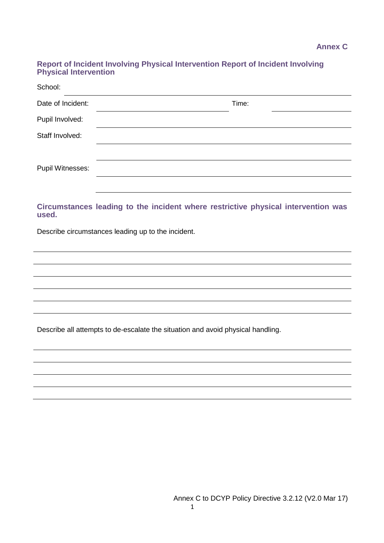#### **Report of Incident Involving Physical Intervention Report of Incident Involving Physical Intervention**

| School:           |       |  |
|-------------------|-------|--|
| Date of Incident: | Time: |  |
| Pupil Involved:   |       |  |
| Staff Involved:   |       |  |
|                   |       |  |
| Pupil Witnesses:  |       |  |
|                   |       |  |

#### **Circumstances leading to the incident where restrictive physical intervention was used.**

Describe circumstances leading up to the incident.

Describe all attempts to de-escalate the situation and avoid physical handling.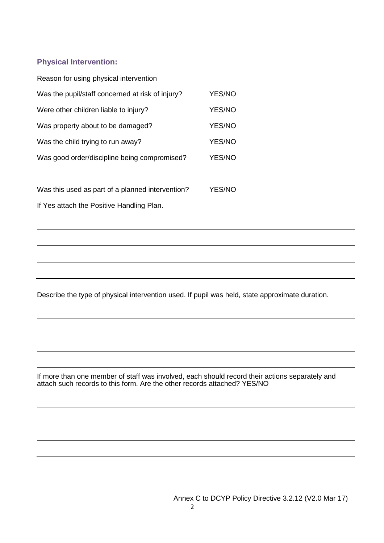#### **Physical Intervention:**

| Reason for using physical intervention           |        |
|--------------------------------------------------|--------|
| Was the pupil/staff concerned at risk of injury? | YES/NO |
| Were other children liable to injury?            | YES/NO |
| Was property about to be damaged?                | YES/NO |
| Was the child trying to run away?                | YES/NO |
| Was good order/discipline being compromised?     | YES/NO |
|                                                  |        |
|                                                  |        |

Was this used as part of a planned intervention? YES/NO If Yes attach the Positive Handling Plan.

Describe the type of physical intervention used. If pupil was held, state approximate duration.

If more than one member of staff was involved, each should record their actions separately and attach such records to this form. Are the other records attached? YES/NO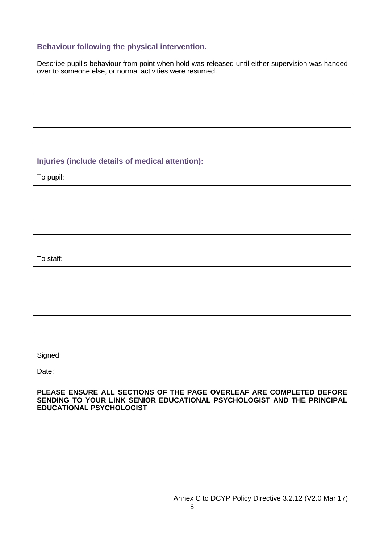#### **Behaviour following the physical intervention.**

Describe pupil's behaviour from point when hold was released until either supervision was handed over to someone else, or normal activities were resumed.

#### **Injuries (include details of medical attention):**

To pupil:

To staff:

Signed:

Date:

**PLEASE ENSURE ALL SECTIONS OF THE PAGE OVERLEAF ARE COMPLETED BEFORE SENDING TO YOUR LINK SENIOR EDUCATIONAL PSYCHOLOGIST AND THE PRINCIPAL EDUCATIONAL PSYCHOLOGIST**